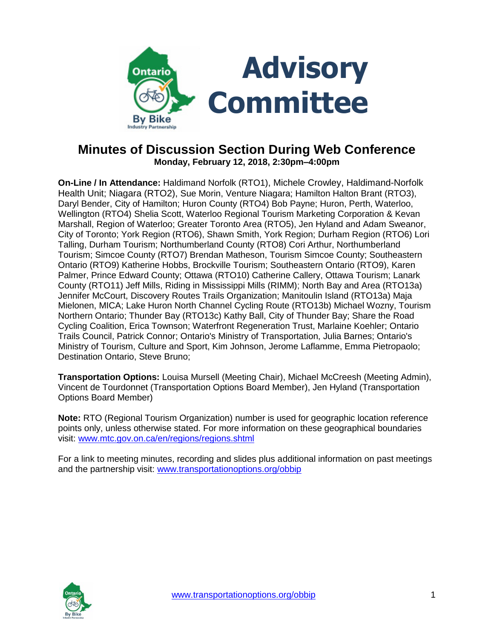

# **Minutes of Discussion Section During Web Conference Monday, February 12, 2018, 2:30pm–4:00pm**

**On-Line / In Attendance:** Haldimand Norfolk (RTO1), Michele Crowley, Haldimand-Norfolk Health Unit; Niagara (RTO2), Sue Morin, Venture Niagara; Hamilton Halton Brant (RTO3), Daryl Bender, City of Hamilton; Huron County (RTO4) Bob Payne; Huron, Perth, Waterloo, Wellington (RTO4) Shelia Scott, Waterloo Regional Tourism Marketing Corporation & Kevan Marshall, Region of Waterloo; Greater Toronto Area (RTO5), Jen Hyland and Adam Sweanor, City of Toronto; York Region (RTO6), Shawn Smith, York Region; Durham Region (RTO6) Lori Talling, Durham Tourism; Northumberland County (RTO8) Cori Arthur, Northumberland Tourism; Simcoe County (RTO7) Brendan Matheson, Tourism Simcoe County; Southeastern Ontario (RTO9) Katherine Hobbs, Brockville Tourism; Southeastern Ontario (RTO9), Karen Palmer, Prince Edward County; Ottawa (RTO10) Catherine Callery, Ottawa Tourism; Lanark County (RTO11) Jeff Mills, Riding in Mississippi Mills (RIMM); North Bay and Area (RTO13a) Jennifer McCourt, Discovery Routes Trails Organization; Manitoulin Island (RTO13a) Maja Mielonen, MICA; Lake Huron North Channel Cycling Route (RTO13b) Michael Wozny, Tourism Northern Ontario; Thunder Bay (RTO13c) Kathy Ball, City of Thunder Bay; Share the Road Cycling Coalition, Erica Townson; Waterfront Regeneration Trust, Marlaine Koehler; Ontario Trails Council, Patrick Connor; Ontario's Ministry of Transportation, Julia Barnes; Ontario's Ministry of Tourism, Culture and Sport, Kim Johnson, Jerome Laflamme, Emma Pietropaolo; Destination Ontario, Steve Bruno;

**Transportation Options:** Louisa Mursell (Meeting Chair), Michael McCreesh (Meeting Admin), Vincent de Tourdonnet (Transportation Options Board Member), Jen Hyland (Transportation Options Board Member)

**Note:** RTO (Regional Tourism Organization) number is used for geographic location reference points only, unless otherwise stated. For more information on these geographical boundaries visit: [www.mtc.gov.on.ca/en/regions/regions.shtml](http://www.mtc.gov.on.ca/en/regions/regions.shtml)

For a link to meeting minutes, recording and slides plus additional information on past meetings and the partnership visit: [www.transportationoptions.org/obbip](http://www.transportationoptions.org/obbip)

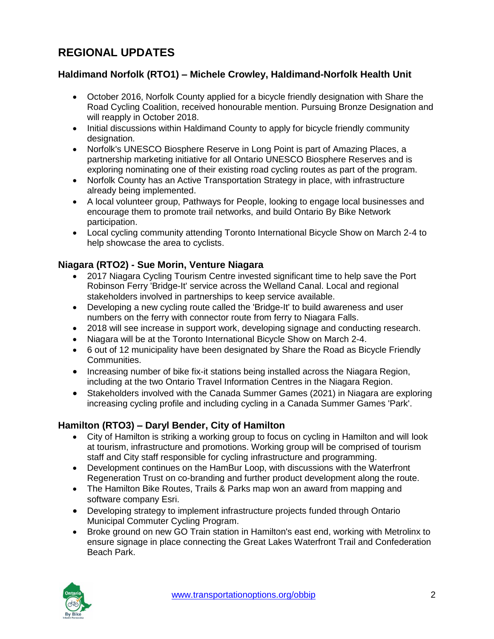# **REGIONAL UPDATES**

## **Haldimand Norfolk (RTO1) – Michele Crowley, Haldimand-Norfolk Health Unit**

- October 2016, Norfolk County applied for a bicycle friendly designation with Share the Road Cycling Coalition, received honourable mention. Pursuing Bronze Designation and will reapply in October 2018.
- Initial discussions within Haldimand County to apply for bicycle friendly community designation.
- Norfolk's UNESCO Biosphere Reserve in Long Point is part of Amazing Places, a partnership marketing initiative for all Ontario UNESCO Biosphere Reserves and is exploring nominating one of their existing road cycling routes as part of the program.
- Norfolk County has an Active Transportation Strategy in place, with infrastructure already being implemented.
- A local volunteer group, Pathways for People, looking to engage local businesses and encourage them to promote trail networks, and build Ontario By Bike Network participation.
- Local cycling community attending Toronto International Bicycle Show on March 2-4 to help showcase the area to cyclists.

#### **Niagara (RTO2) - Sue Morin, Venture Niagara**

- 2017 Niagara Cycling Tourism Centre invested significant time to help save the Port Robinson Ferry 'Bridge-It' service across the Welland Canal. Local and regional stakeholders involved in partnerships to keep service available.
- Developing a new cycling route called the 'Bridge-It' to build awareness and user numbers on the ferry with connector route from ferry to Niagara Falls.
- 2018 will see increase in support work, developing signage and conducting research.
- Niagara will be at the Toronto International Bicycle Show on March 2-4.
- 6 out of 12 municipality have been designated by Share the Road as Bicycle Friendly Communities.
- Increasing number of bike fix-it stations being installed across the Niagara Region, including at the two Ontario Travel Information Centres in the Niagara Region.
- Stakeholders involved with the Canada Summer Games (2021) in Niagara are exploring increasing cycling profile and including cycling in a Canada Summer Games 'Park'.

## **Hamilton (RTO3) – Daryl Bender, City of Hamilton**

- City of Hamilton is striking a working group to focus on cycling in Hamilton and will look at tourism, infrastructure and promotions. Working group will be comprised of tourism staff and City staff responsible for cycling infrastructure and programming.
- Development continues on the HamBur Loop, with discussions with the Waterfront Regeneration Trust on co-branding and further product development along the route.
- The Hamilton Bike Routes, Trails & Parks map won an award from mapping and software company Esri.
- Developing strategy to implement infrastructure projects funded through Ontario Municipal Commuter Cycling Program.
- Broke ground on new GO Train station in Hamilton's east end, working with Metrolinx to ensure signage in place connecting the Great Lakes Waterfront Trail and Confederation Beach Park.

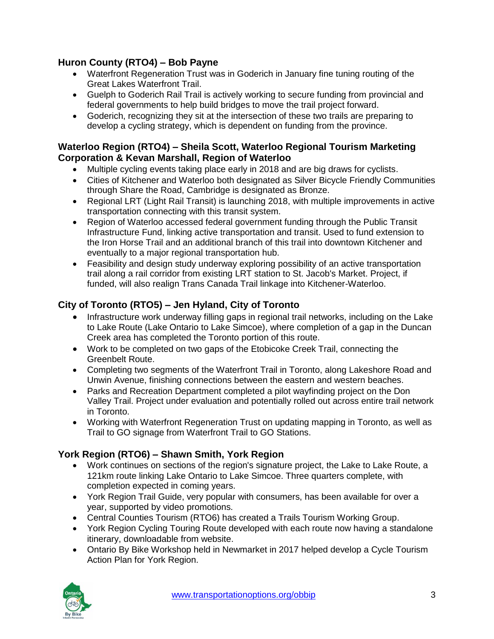## **Huron County (RTO4) – Bob Payne**

- Waterfront Regeneration Trust was in Goderich in January fine tuning routing of the Great Lakes Waterfront Trail.
- Guelph to Goderich Rail Trail is actively working to secure funding from provincial and federal governments to help build bridges to move the trail project forward.
- Goderich, recognizing they sit at the intersection of these two trails are preparing to develop a cycling strategy, which is dependent on funding from the province.

## **Waterloo Region (RTO4) – Sheila Scott, Waterloo Regional Tourism Marketing Corporation & Kevan Marshall, Region of Waterloo**

- Multiple cycling events taking place early in 2018 and are big draws for cyclists.
- Cities of Kitchener and Waterloo both designated as Silver Bicycle Friendly Communities through Share the Road, Cambridge is designated as Bronze.
- Regional LRT (Light Rail Transit) is launching 2018, with multiple improvements in active transportation connecting with this transit system.
- Region of Waterloo accessed federal government funding through the Public Transit Infrastructure Fund, linking active transportation and transit. Used to fund extension to the Iron Horse Trail and an additional branch of this trail into downtown Kitchener and eventually to a major regional transportation hub.
- Feasibility and design study underway exploring possibility of an active transportation trail along a rail corridor from existing LRT station to St. Jacob's Market. Project, if funded, will also realign Trans Canada Trail linkage into Kitchener-Waterloo.

# **City of Toronto (RTO5) – Jen Hyland, City of Toronto**

- Infrastructure work underway filling gaps in regional trail networks, including on the Lake to Lake Route (Lake Ontario to Lake Simcoe), where completion of a gap in the Duncan Creek area has completed the Toronto portion of this route.
- Work to be completed on two gaps of the Etobicoke Creek Trail, connecting the Greenbelt Route.
- Completing two segments of the Waterfront Trail in Toronto, along Lakeshore Road and Unwin Avenue, finishing connections between the eastern and western beaches.
- Parks and Recreation Department completed a pilot wayfinding project on the Don Valley Trail. Project under evaluation and potentially rolled out across entire trail network in Toronto.
- Working with Waterfront Regeneration Trust on updating mapping in Toronto, as well as Trail to GO signage from Waterfront Trail to GO Stations.

# **York Region (RTO6) – Shawn Smith, York Region**

- Work continues on sections of the region's signature project, the Lake to Lake Route, a 121km route linking Lake Ontario to Lake Simcoe. Three quarters complete, with completion expected in coming years.
- York Region Trail Guide, very popular with consumers, has been available for over a year, supported by video promotions.
- Central Counties Tourism (RTO6) has created a Trails Tourism Working Group.
- York Region Cycling Touring Route developed with each route now having a standalone itinerary, downloadable from website.
- Ontario By Bike Workshop held in Newmarket in 2017 helped develop a Cycle Tourism Action Plan for York Region.

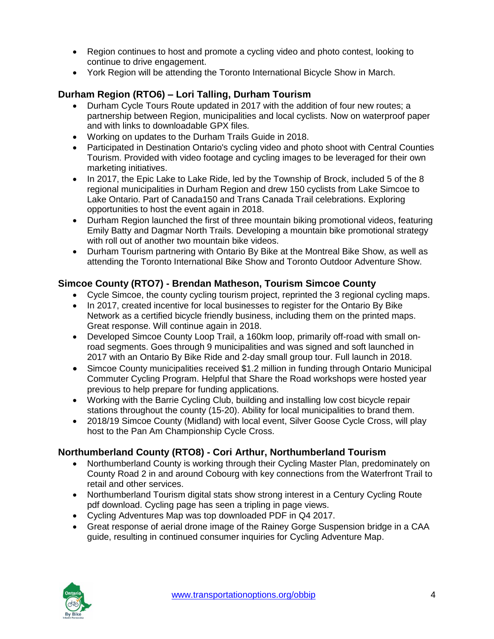- Region continues to host and promote a cycling video and photo contest, looking to continue to drive engagement.
- York Region will be attending the Toronto International Bicycle Show in March.

#### **Durham Region (RTO6) – Lori Talling, Durham Tourism**

- Durham Cycle Tours Route updated in 2017 with the addition of four new routes; a partnership between Region, municipalities and local cyclists. Now on waterproof paper and with links to downloadable GPX files.
- Working on updates to the Durham Trails Guide in 2018.
- Participated in Destination Ontario's cycling video and photo shoot with Central Counties Tourism. Provided with video footage and cycling images to be leveraged for their own marketing initiatives.
- In 2017, the Epic Lake to Lake Ride, led by the Township of Brock, included 5 of the 8 regional municipalities in Durham Region and drew 150 cyclists from Lake Simcoe to Lake Ontario. Part of Canada150 and Trans Canada Trail celebrations. Exploring opportunities to host the event again in 2018.
- Durham Region launched the first of three mountain biking promotional videos, featuring Emily Batty and Dagmar North Trails. Developing a mountain bike promotional strategy with roll out of another two mountain bike videos.
- Durham Tourism partnering with Ontario By Bike at the Montreal Bike Show, as well as attending the Toronto International Bike Show and Toronto Outdoor Adventure Show.

#### **Simcoe County (RTO7) - Brendan Matheson, Tourism Simcoe County**

- Cycle Simcoe, the county cycling tourism project, reprinted the 3 regional cycling maps.
- In 2017, created incentive for local businesses to register for the Ontario By Bike Network as a certified bicycle friendly business, including them on the printed maps. Great response. Will continue again in 2018.
- Developed Simcoe County Loop Trail, a 160km loop, primarily off-road with small onroad segments. Goes through 9 municipalities and was signed and soft launched in 2017 with an Ontario By Bike Ride and 2-day small group tour. Full launch in 2018.
- Simcoe County municipalities received \$1.2 million in funding through Ontario Municipal Commuter Cycling Program. Helpful that Share the Road workshops were hosted year previous to help prepare for funding applications.
- Working with the Barrie Cycling Club, building and installing low cost bicycle repair stations throughout the county (15-20). Ability for local municipalities to brand them.
- 2018/19 Simcoe County (Midland) with local event, Silver Goose Cycle Cross, will play host to the Pan Am Championship Cycle Cross.

## **Northumberland County (RTO8) - Cori Arthur, Northumberland Tourism**

- Northumberland County is working through their Cycling Master Plan, predominately on County Road 2 in and around Cobourg with key connections from the Waterfront Trail to retail and other services.
- Northumberland Tourism digital stats show strong interest in a Century Cycling Route pdf download. Cycling page has seen a tripling in page views.
- Cycling Adventures Map was top downloaded PDF in Q4 2017.
- Great response of aerial drone image of the Rainey Gorge Suspension bridge in a CAA guide, resulting in continued consumer inquiries for Cycling Adventure Map.

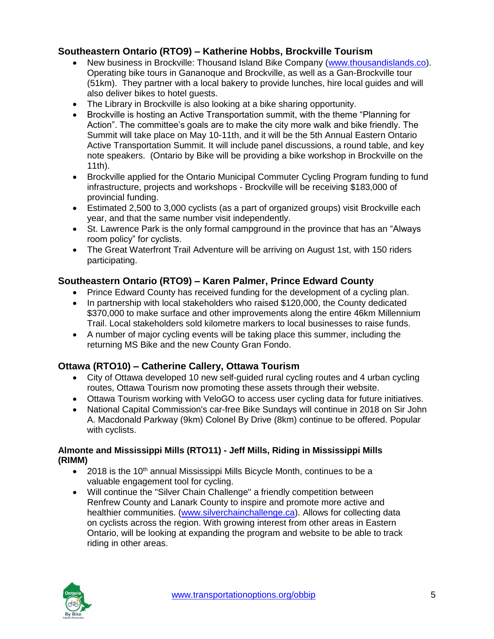## **Southeastern Ontario (RTO9) – Katherine Hobbs, Brockville Tourism**

- New business in Brockville: Thousand Island Bike Company [\(www.thousandislands.co\)](http://www.thousandislands.co/). Operating bike tours in Gananoque and Brockville, as well as a Gan-Brockville tour (51km). They partner with a local bakery to provide lunches, hire local guides and will also deliver bikes to hotel guests.
- The Library in Brockville is also looking at a bike sharing opportunity.
- Brockville is hosting an Active Transportation summit, with the theme "Planning for Action". The committee's goals are to make the city more walk and bike friendly. The Summit will take place on May 10-11th, and it will be the 5th Annual Eastern Ontario Active Transportation Summit. It will include panel discussions, a round table, and key note speakers. (Ontario by Bike will be providing a bike workshop in Brockville on the 11th).
- Brockville applied for the Ontario Municipal Commuter Cycling Program funding to fund infrastructure, projects and workshops - Brockville will be receiving \$183,000 of provincial funding.
- Estimated 2,500 to 3,000 cyclists (as a part of organized groups) visit Brockville each year, and that the same number visit independently.
- St. Lawrence Park is the only formal campground in the province that has an "Always room policy" for cyclists.
- The Great Waterfront Trail Adventure will be arriving on August 1st, with 150 riders participating.

## **Southeastern Ontario (RTO9) – Karen Palmer, Prince Edward County**

- Prince Edward County has received funding for the development of a cycling plan.
- In partnership with local stakeholders who raised \$120,000, the County dedicated \$370,000 to make surface and other improvements along the entire 46km Millennium Trail. Local stakeholders sold kilometre markers to local businesses to raise funds.
- A number of major cycling events will be taking place this summer, including the returning MS Bike and the new County Gran Fondo.

# **Ottawa (RTO10) – Catherine Callery, Ottawa Tourism**

- City of Ottawa developed 10 new self-guided rural cycling routes and 4 urban cycling routes, Ottawa Tourism now promoting these assets through their website.
- Ottawa Tourism working with VeloGO to access user cycling data for future initiatives.
- National Capital Commission's car-free Bike Sundays will continue in 2018 on Sir John A. Macdonald Parkway (9km) Colonel By Drive (8km) continue to be offered. Popular with cyclists.

#### **Almonte and Mississippi Mills (RTO11) - Jeff Mills, Riding in Mississippi Mills (RIMM)**

- $\bullet$  2018 is the 10<sup>th</sup> annual Mississippi Mills Bicycle Month, continues to be a valuable engagement tool for cycling.
- Will continue the "Silver Chain Challenge" a friendly competition between Renfrew County and Lanark County to inspire and promote more active and healthier communities. [\(www.silverchainchallenge.ca\)](http://www.silverchainchallenge.ca/). Allows for collecting data on cyclists across the region. With growing interest from other areas in Eastern Ontario, will be looking at expanding the program and website to be able to track riding in other areas.

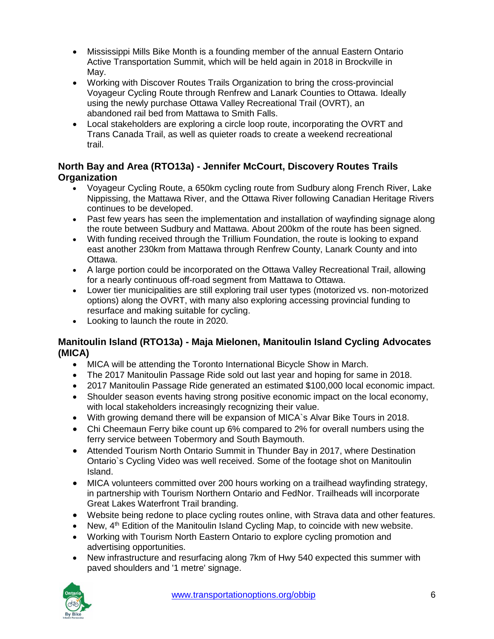- Mississippi Mills Bike Month is a founding member of the annual Eastern Ontario Active Transportation Summit, which will be held again in 2018 in Brockville in May.
- Working with Discover Routes Trails Organization to bring the cross-provincial Voyageur Cycling Route through Renfrew and Lanark Counties to Ottawa. Ideally using the newly purchase Ottawa Valley Recreational Trail (OVRT), an abandoned rail bed from Mattawa to Smith Falls.
- Local stakeholders are exploring a circle loop route, incorporating the OVRT and Trans Canada Trail, as well as quieter roads to create a weekend recreational trail.

## **North Bay and Area (RTO13a) - Jennifer McCourt, Discovery Routes Trails Organization**

- Voyageur Cycling Route, a 650km cycling route from Sudbury along French River, Lake Nippissing, the Mattawa River, and the Ottawa River following Canadian Heritage Rivers continues to be developed.
- Past few years has seen the implementation and installation of wayfinding signage along the route between Sudbury and Mattawa. About 200km of the route has been signed.
- With funding received through the Trillium Foundation, the route is looking to expand east another 230km from Mattawa through Renfrew County, Lanark County and into Ottawa.
- A large portion could be incorporated on the Ottawa Valley Recreational Trail, allowing for a nearly continuous off-road segment from Mattawa to Ottawa.
- Lower tier municipalities are still exploring trail user types (motorized vs. non-motorized options) along the OVRT, with many also exploring accessing provincial funding to resurface and making suitable for cycling.
- Looking to launch the route in 2020.

## **Manitoulin Island (RTO13a) - Maja Mielonen, Manitoulin Island Cycling Advocates (MICA)**

- MICA will be attending the Toronto International Bicycle Show in March.
- The 2017 Manitoulin Passage Ride sold out last year and hoping for same in 2018.
- 2017 Manitoulin Passage Ride generated an estimated \$100,000 local economic impact.
- Shoulder season events having strong positive economic impact on the local economy, with local stakeholders increasingly recognizing their value.
- With growing demand there will be expansion of MICA`s Alvar Bike Tours in 2018.
- Chi Cheemaun Ferry bike count up 6% compared to 2% for overall numbers using the ferry service between Tobermory and South Baymouth.
- Attended Tourism North Ontario Summit in Thunder Bay in 2017, where Destination Ontario`s Cycling Video was well received. Some of the footage shot on Manitoulin Island.
- MICA volunteers committed over 200 hours working on a trailhead wayfinding strategy, in partnership with Tourism Northern Ontario and FedNor. Trailheads will incorporate Great Lakes Waterfront Trail branding.
- Website being redone to place cycling routes online, with Strava data and other features.
- $\bullet$  New,  $4<sup>th</sup>$  Edition of the Manitoulin Island Cycling Map, to coincide with new website.
- Working with Tourism North Eastern Ontario to explore cycling promotion and advertising opportunities.
- New infrastructure and resurfacing along 7km of Hwy 540 expected this summer with paved shoulders and '1 metre' signage.

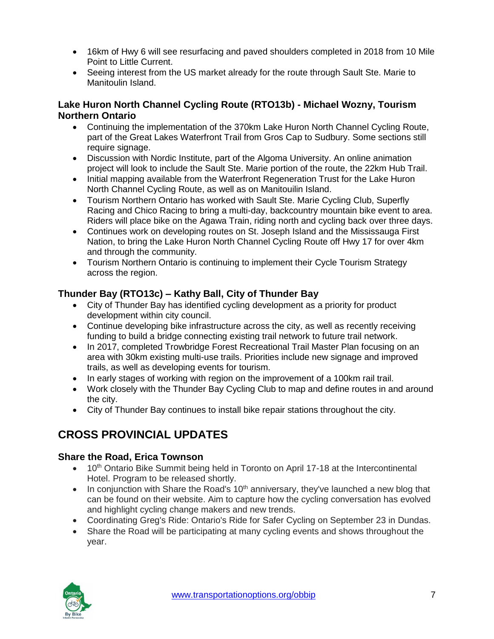- 16km of Hwy 6 will see resurfacing and paved shoulders completed in 2018 from 10 Mile Point to Little Current.
- Seeing interest from the US market already for the route through Sault Ste. Marie to Manitoulin Island.

#### **Lake Huron North Channel Cycling Route (RTO13b) - Michael Wozny, Tourism Northern Ontario**

- Continuing the implementation of the 370km Lake Huron North Channel Cycling Route, part of the Great Lakes Waterfront Trail from Gros Cap to Sudbury. Some sections still require signage.
- Discussion with Nordic Institute, part of the Algoma University. An online animation project will look to include the Sault Ste. Marie portion of the route, the 22km Hub Trail.
- Initial mapping available from the Waterfront Regeneration Trust for the Lake Huron North Channel Cycling Route, as well as on Manitouilin Island.
- Tourism Northern Ontario has worked with Sault Ste. Marie Cycling Club, Superfly Racing and Chico Racing to bring a multi-day, backcountry mountain bike event to area. Riders will place bike on the Agawa Train, riding north and cycling back over three days.
- Continues work on developing routes on St. Joseph Island and the Mississauga First Nation, to bring the Lake Huron North Channel Cycling Route off Hwy 17 for over 4km and through the community.
- Tourism Northern Ontario is continuing to implement their Cycle Tourism Strategy across the region.

# **Thunder Bay (RTO13c) – Kathy Ball, City of Thunder Bay**

- City of Thunder Bay has identified cycling development as a priority for product development within city council.
- Continue developing bike infrastructure across the city, as well as recently receiving funding to build a bridge connecting existing trail network to future trail network.
- In 2017, completed Trowbridge Forest Recreational Trail Master Plan focusing on an area with 30km existing multi-use trails. Priorities include new signage and improved trails, as well as developing events for tourism.
- In early stages of working with region on the improvement of a 100km rail trail.
- Work closely with the Thunder Bay Cycling Club to map and define routes in and around the city.
- City of Thunder Bay continues to install bike repair stations throughout the city.

# **CROSS PROVINCIAL UPDATES**

# **Share the Road, Erica Townson**

- $\bullet$  10<sup>th</sup> Ontario Bike Summit being held in Toronto on April 17-18 at the Intercontinental Hotel. Program to be released shortly.
- In conjunction with Share the Road's 10<sup>th</sup> anniversary, they've launched a new blog that can be found on their website. Aim to capture how the cycling conversation has evolved and highlight cycling change makers and new trends.
- Coordinating Greg's Ride: Ontario's Ride for Safer Cycling on September 23 in Dundas.
- Share the Road will be participating at many cycling events and shows throughout the year.

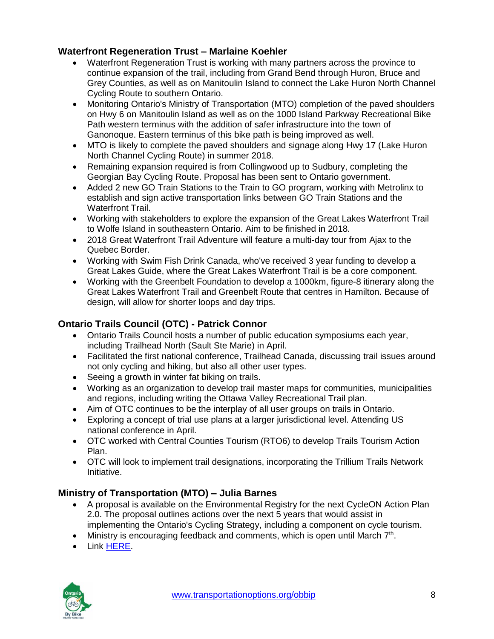## **Waterfront Regeneration Trust – Marlaine Koehler**

- Waterfront Regeneration Trust is working with many partners across the province to continue expansion of the trail, including from Grand Bend through Huron, Bruce and Grey Counties, as well as on Manitoulin Island to connect the Lake Huron North Channel Cycling Route to southern Ontario.
- Monitoring Ontario's Ministry of Transportation (MTO) completion of the paved shoulders on Hwy 6 on Manitoulin Island as well as on the 1000 Island Parkway Recreational Bike Path western terminus with the addition of safer infrastructure into the town of Ganonoque. Eastern terminus of this bike path is being improved as well.
- MTO is likely to complete the paved shoulders and signage along Hwy 17 (Lake Huron North Channel Cycling Route) in summer 2018.
- Remaining expansion required is from Collingwood up to Sudbury, completing the Georgian Bay Cycling Route. Proposal has been sent to Ontario government.
- Added 2 new GO Train Stations to the Train to GO program, working with Metrolinx to establish and sign active transportation links between GO Train Stations and the Waterfront Trail.
- Working with stakeholders to explore the expansion of the Great Lakes Waterfront Trail to Wolfe Island in southeastern Ontario. Aim to be finished in 2018.
- 2018 Great Waterfront Trail Adventure will feature a multi-day tour from Ajax to the Quebec Border.
- Working with Swim Fish Drink Canada, who've received 3 year funding to develop a Great Lakes Guide, where the Great Lakes Waterfront Trail is be a core component.
- Working with the Greenbelt Foundation to develop a 1000km, figure-8 itinerary along the Great Lakes Waterfront Trail and Greenbelt Route that centres in Hamilton. Because of design, will allow for shorter loops and day trips.

# **Ontario Trails Council (OTC) - Patrick Connor**

- Ontario Trails Council hosts a number of public education symposiums each year, including Trailhead North (Sault Ste Marie) in April.
- Facilitated the first national conference, Trailhead Canada, discussing trail issues around not only cycling and hiking, but also all other user types.
- Seeing a growth in winter fat biking on trails.
- Working as an organization to develop trail master maps for communities, municipalities and regions, including writing the Ottawa Valley Recreational Trail plan.
- Aim of OTC continues to be the interplay of all user groups on trails in Ontario.
- Exploring a concept of trial use plans at a larger jurisdictional level. Attending US national conference in April.
- OTC worked with Central Counties Tourism (RTO6) to develop Trails Tourism Action Plan.
- OTC will look to implement trail designations, incorporating the Trillium Trails Network **Initiative.**

# **Ministry of Transportation (MTO) – Julia Barnes**

- A proposal is available on the Environmental Registry for the next CycleON Action Plan 2.0. The proposal outlines actions over the next 5 years that would assist in implementing the Ontario's Cycling Strategy, including a component on cycle tourism.
- $\bullet$  Ministry is encouraging feedback and comments, which is open until March  $7<sup>th</sup>$ .
- Link [HERE.](https://www.ebr.gov.on.ca/ERS-WEB-External/displaynoticecontent.do?noticeId=MTMzOTQ4&statusId=MjAzNzQ5&language=en)

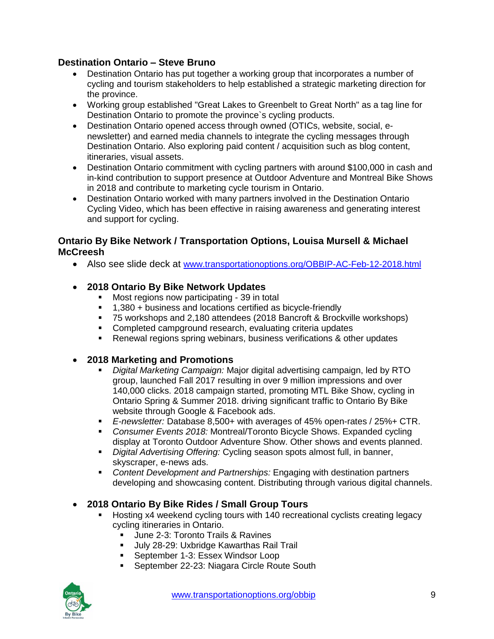#### **Destination Ontario – Steve Bruno**

- Destination Ontario has put together a working group that incorporates a number of cycling and tourism stakeholders to help established a strategic marketing direction for the province.
- Working group established "Great Lakes to Greenbelt to Great North" as a tag line for Destination Ontario to promote the province`s cycling products.
- Destination Ontario opened access through owned (OTICs, website, social, enewsletter) and earned media channels to integrate the cycling messages through Destination Ontario. Also exploring paid content / acquisition such as blog content, itineraries, visual assets.
- Destination Ontario commitment with cycling partners with around \$100,000 in cash and in-kind contribution to support presence at Outdoor Adventure and Montreal Bike Shows in 2018 and contribute to marketing cycle tourism in Ontario.
- Destination Ontario worked with many partners involved in the Destination Ontario Cycling Video, which has been effective in raising awareness and generating interest and support for cycling.

#### **Ontario By Bike Network / Transportation Options, Louisa Mursell & Michael McCreesh**

Also see slide deck at [www.transportationoptions.org/OBBIP-AC-Feb-12-2018.html](http://www.transportationoptions.org/OBBIP-AC-Feb-12-2018.html)

## **2018 Ontario By Bike Network Updates**

- **Most regions now participating 39 in total**
- 1,380 + business and locations certified as bicycle-friendly
- 75 workshops and 2,180 attendees (2018 Bancroft & Brockville workshops)
- **Completed campground research, evaluating criteria updates**
- Renewal regions spring webinars, business verifications & other updates

#### **2018 Marketing and Promotions**

- *Digital Marketing Campaign:* Major digital advertising campaign, led by RTO group, launched Fall 2017 resulting in over 9 million impressions and over 140,000 clicks. 2018 campaign started, promoting MTL Bike Show, cycling in Ontario Spring & Summer 2018. driving significant traffic to Ontario By Bike website through Google & Facebook ads.
- *E-newsletter:* Database 8,500+ with averages of 45% open-rates / 25%+ CTR.
- *Consumer Events 2018:* Montreal/Toronto Bicycle Shows. Expanded cycling display at Toronto Outdoor Adventure Show. Other shows and events planned.
- *Digital Advertising Offering:* Cycling season spots almost full, in banner, skyscraper, e-news ads.
- *Content Development and Partnerships:* Engaging with destination partners developing and showcasing content. Distributing through various digital channels.

## **2018 Ontario By Bike Rides / Small Group Tours**

- Hosting x4 weekend cycling tours with 140 recreational cyclists creating legacy cycling itineraries in Ontario.
	- **June 2-3: Toronto Trails & Ravines**
	- **July 28-29: Uxbridge Kawarthas Rail Trail**
	- **September 1-3: Essex Windsor Loop**
	- **September 22-23: Niagara Circle Route South**